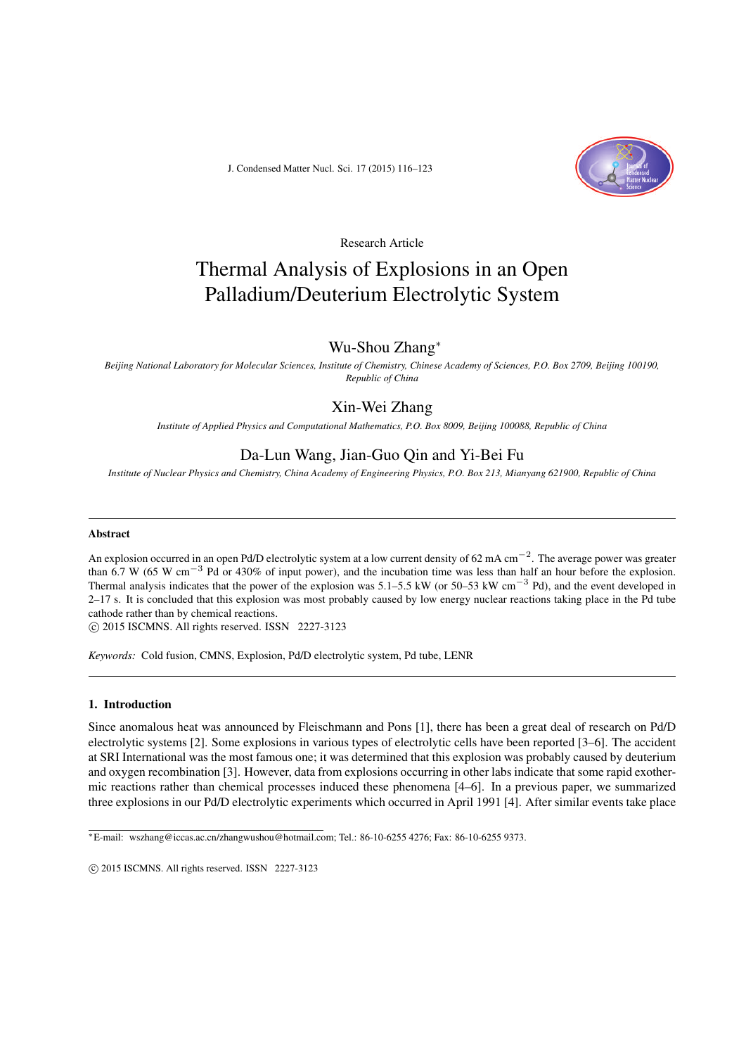J. Condensed Matter Nucl. Sci. 17 (2015) 116–123



Research Article

# Thermal Analysis of Explosions in an Open Palladium/Deuterium Electrolytic System

## Wu-Shou Zhang<sup>∗</sup>

*Beijing National Laboratory for Molecular Sciences, Institute of Chemistry, Chinese Academy of Sciences, P.O. Box 2709, Beijing 100190, Republic of China*

## Xin-Wei Zhang

*Institute of Applied Physics and Computational Mathematics, P.O. Box 8009, Beijing 100088, Republic of China*

## Da-Lun Wang, Jian-Guo Qin and Yi-Bei Fu

*Institute of Nuclear Physics and Chemistry, China Academy of Engineering Physics, P.O. Box 213, Mianyang 621900, Republic of China*

#### Abstract

An explosion occurred in an open Pd/D electrolytic system at a low current density of 62 mA cm−2. The average power was greater than 6.7 W (65 W cm<sup>-3</sup> Pd or 430% of input power), and the incubation time was less than half an hour before the explosion. Thermal analysis indicates that the power of the explosion was  $5.1-5.5 \text{ kW}$  (or  $50-53 \text{ kW cm}^{-3}$  Pd), and the event developed in 2–17 s. It is concluded that this explosion was most probably caused by low energy nuclear reactions taking place in the Pd tube cathode rather than by chemical reactions.

 $\circ$  2015 ISCMNS. All rights reserved. ISSN 2227-3123

*Keywords:* Cold fusion, CMNS, Explosion, Pd/D electrolytic system, Pd tube, LENR

### 1. Introduction

Since anomalous heat was announced by Fleischmann and Pons [1], there has been a great deal of research on Pd/D electrolytic systems [2]. Some explosions in various types of electrolytic cells have been reported [3–6]. The accident at SRI International was the most famous one; it was determined that this explosion was probably caused by deuterium and oxygen recombination [3]. However, data from explosions occurring in other labs indicate that some rapid exothermic reactions rather than chemical processes induced these phenomena [4–6]. In a previous paper, we summarized three explosions in our Pd/D electrolytic experiments which occurred in April 1991 [4]. After similar events take place

<sup>∗</sup>E-mail: wszhang@iccas.ac.cn/zhangwushou@hotmail.com; Tel.: 86-10-6255 4276; Fax: 86-10-6255 9373.

 $\odot$  2015 ISCMNS. All rights reserved. ISSN 2227-3123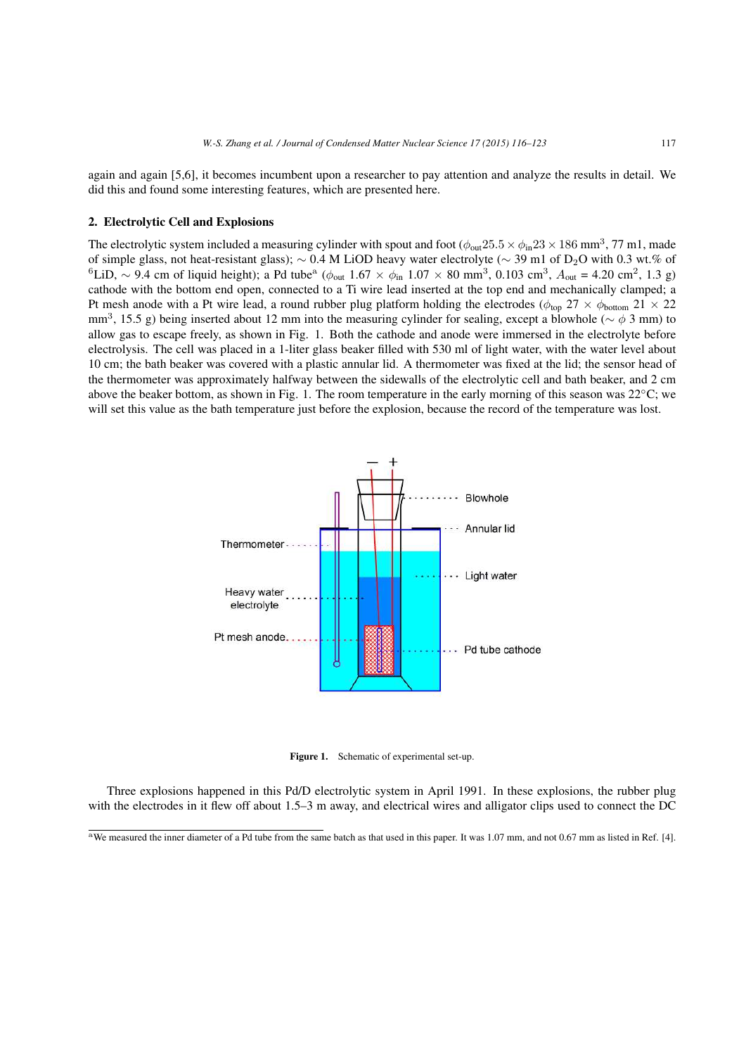again and again [5,6], it becomes incumbent upon a researcher to pay attention and analyze the results in detail. We did this and found some interesting features, which are presented here.

#### 2. Electrolytic Cell and Explosions

The electrolytic system included a measuring cylinder with spout and foot  $(\phi_{\text{out}}25.5 \times \phi_{\text{in}}23 \times 186 \text{ mm}^3, 77 \text{ m}1, \text{made})$ of simple glass, not heat-resistant glass);  $\sim 0.4$  M LiOD heavy water electrolyte ( $\sim 39$  m1 of D<sub>2</sub>O with 0.3 wt.% of  $6$ LiD, ~ 9.4 cm of liquid height); a Pd tube<sup>a</sup> ( $\phi_{\text{out}}$  1.67 ×  $\phi_{\text{in}}$  1.07 × 80 mm<sup>3</sup>, 0.103 cm<sup>3</sup>,  $A_{\text{out}}$  = 4.20 cm<sup>2</sup>, 1.3 g) cathode with the bottom end open, connected to a Ti wire lead inserted at the top end and mechanically clamped; a Pt mesh anode with a Pt wire lead, a round rubber plug platform holding the electrodes ( $\phi_{\text{top}}$  27  $\times$   $\phi_{\text{bottom}}$  21  $\times$  22 mm<sup>3</sup>, 15.5 g) being inserted about 12 mm into the measuring cylinder for sealing, except a blowhole ( $\sim \phi$  3 mm) to allow gas to escape freely, as shown in Fig. 1. Both the cathode and anode were immersed in the electrolyte before electrolysis. The cell was placed in a 1-liter glass beaker filled with 530 ml of light water, with the water level about 10 cm; the bath beaker was covered with a plastic annular lid. A thermometer was fixed at the lid; the sensor head of the thermometer was approximately halfway between the sidewalls of the electrolytic cell and bath beaker, and 2 cm above the beaker bottom, as shown in Fig. 1. The room temperature in the early morning of this season was  $22^{\circ}$ C; we will set this value as the bath temperature just before the explosion, because the record of the temperature was lost.



Figure 1. Schematic of experimental set-up.

Three explosions happened in this Pd/D electrolytic system in April 1991. In these explosions, the rubber plug with the electrodes in it flew off about 1.5–3 m away, and electrical wires and alligator clips used to connect the DC

<sup>&</sup>lt;sup>a</sup>We measured the inner diameter of a Pd tube from the same batch as that used in this paper. It was 1.07 mm, and not 0.67 mm as listed in Ref. [4].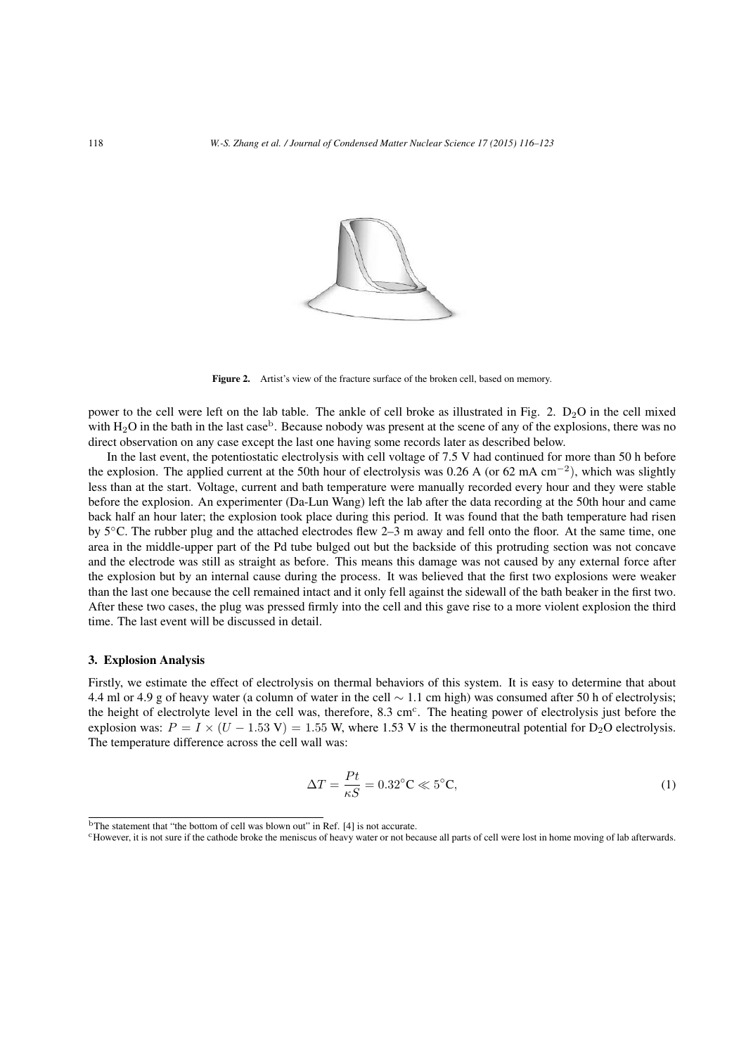

Figure 2. Artist's view of the fracture surface of the broken cell, based on memory.

power to the cell were left on the lab table. The ankle of cell broke as illustrated in Fig. 2.  $D_2O$  in the cell mixed with  $H_2O$  in the bath in the last case<sup>b</sup>. Because nobody was present at the scene of any of the explosions, there was no direct observation on any case except the last one having some records later as described below.

In the last event, the potentiostatic electrolysis with cell voltage of 7.5 V had continued for more than 50 h before the explosion. The applied current at the 50th hour of electrolysis was 0.26 A (or 62 mA cm−<sup>2</sup>), which was slightly less than at the start. Voltage, current and bath temperature were manually recorded every hour and they were stable before the explosion. An experimenter (Da-Lun Wang) left the lab after the data recording at the 50th hour and came back half an hour later; the explosion took place during this period. It was found that the bath temperature had risen by 5◦C. The rubber plug and the attached electrodes flew 2–3 m away and fell onto the floor. At the same time, one area in the middle-upper part of the Pd tube bulged out but the backside of this protruding section was not concave and the electrode was still as straight as before. This means this damage was not caused by any external force after the explosion but by an internal cause during the process. It was believed that the first two explosions were weaker than the last one because the cell remained intact and it only fell against the sidewall of the bath beaker in the first two. After these two cases, the plug was pressed firmly into the cell and this gave rise to a more violent explosion the third time. The last event will be discussed in detail.

#### 3. Explosion Analysis

Firstly, we estimate the effect of electrolysis on thermal behaviors of this system. It is easy to determine that about 4.4 ml or 4.9 g of heavy water (a column of water in the cell ∼ 1.1 cm high) was consumed after 50 h of electrolysis; the height of electrolyte level in the cell was, therefore,  $8.3 \text{ cm}^{\circ}$ . The heating power of electrolysis just before the explosion was:  $P = I \times (U - 1.53 \text{ V}) = 1.55 \text{ W}$ , where 1.53 V is the thermoneutral potential for D<sub>2</sub>O electrolysis. The temperature difference across the cell wall was:

$$
\Delta T = \frac{Pt}{\kappa S} = 0.32^{\circ}\text{C} \ll 5^{\circ}\text{C},\tag{1}
$$

<sup>&</sup>lt;sup>b</sup>The statement that "the bottom of cell was blown out" in Ref. [4] is not accurate.

<sup>&</sup>lt;sup>c</sup>However, it is not sure if the cathode broke the meniscus of heavy water or not because all parts of cell were lost in home moving of lab afterwards.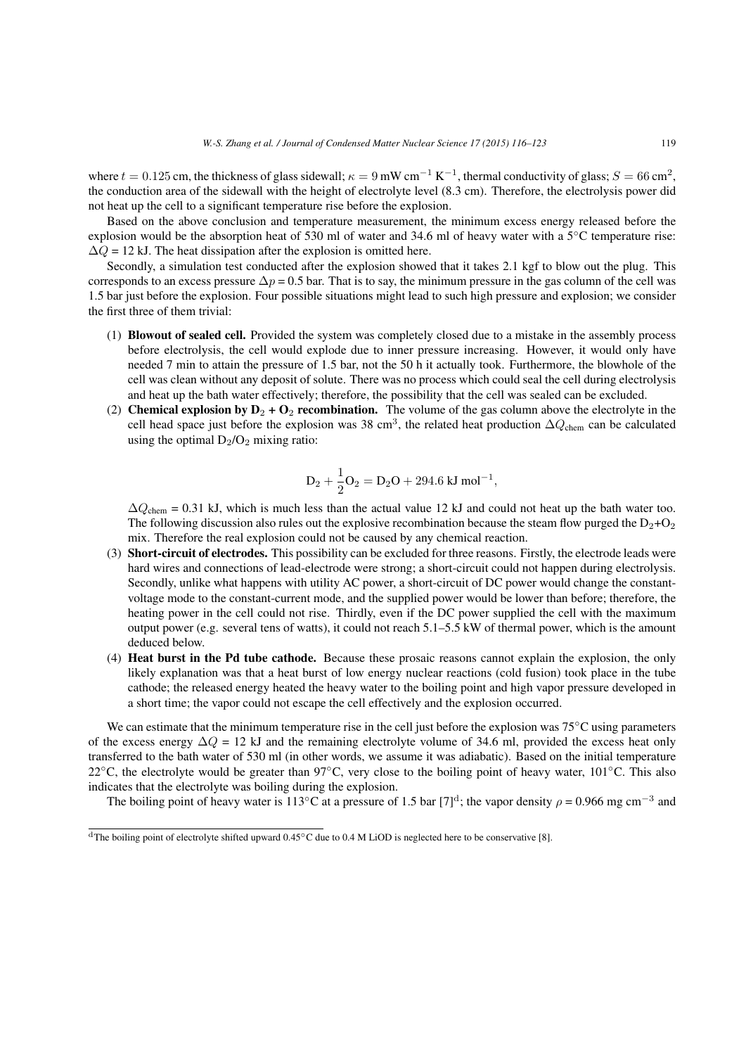where  $t = 0.125$  cm, the thickness of glass sidewall;  $\kappa = 9$  mW cm<sup>-1</sup> K<sup>-1</sup>, thermal conductivity of glass;  $S = 66$  cm<sup>2</sup>, the conduction area of the sidewall with the height of electrolyte level (8.3 cm). Therefore, the electrolysis power did not heat up the cell to a significant temperature rise before the explosion.

Based on the above conclusion and temperature measurement, the minimum excess energy released before the explosion would be the absorption heat of 530 ml of water and 34.6 ml of heavy water with a 5◦C temperature rise:  $\Delta Q = 12$  kJ. The heat dissipation after the explosion is omitted here.

Secondly, a simulation test conducted after the explosion showed that it takes 2.1 kgf to blow out the plug. This corresponds to an excess pressure  $\Delta p = 0.5$  bar. That is to say, the minimum pressure in the gas column of the cell was 1.5 bar just before the explosion. Four possible situations might lead to such high pressure and explosion; we consider the first three of them trivial:

- (1) Blowout of sealed cell. Provided the system was completely closed due to a mistake in the assembly process before electrolysis, the cell would explode due to inner pressure increasing. However, it would only have needed 7 min to attain the pressure of 1.5 bar, not the 50 h it actually took. Furthermore, the blowhole of the cell was clean without any deposit of solute. There was no process which could seal the cell during electrolysis and heat up the bath water effectively; therefore, the possibility that the cell was sealed can be excluded.
- (2) Chemical explosion by  $D_2 + O_2$  recombination. The volume of the gas column above the electrolyte in the cell head space just before the explosion was 38 cm<sup>3</sup>, the related heat production  $\Delta Q_{\text{chem}}$  can be calculated using the optimal  $D_2/O_2$  mixing ratio:

$$
D_2 + \frac{1}{2}O_2 = D_2O + 294.6 \text{ kJ mol}^{-1},
$$

 $\Delta Q_{\text{chem}} = 0.31$  kJ, which is much less than the actual value 12 kJ and could not heat up the bath water too. The following discussion also rules out the explosive recombination because the steam flow purged the  $D_2+O_2$ mix. Therefore the real explosion could not be caused by any chemical reaction.

- (3) Short-circuit of electrodes. This possibility can be excluded for three reasons. Firstly, the electrode leads were hard wires and connections of lead-electrode were strong; a short-circuit could not happen during electrolysis. Secondly, unlike what happens with utility AC power, a short-circuit of DC power would change the constantvoltage mode to the constant-current mode, and the supplied power would be lower than before; therefore, the heating power in the cell could not rise. Thirdly, even if the DC power supplied the cell with the maximum output power (e.g. several tens of watts), it could not reach 5.1–5.5 kW of thermal power, which is the amount deduced below.
- (4) Heat burst in the Pd tube cathode. Because these prosaic reasons cannot explain the explosion, the only likely explanation was that a heat burst of low energy nuclear reactions (cold fusion) took place in the tube cathode; the released energy heated the heavy water to the boiling point and high vapor pressure developed in a short time; the vapor could not escape the cell effectively and the explosion occurred.

We can estimate that the minimum temperature rise in the cell just before the explosion was 75<sup>°</sup>C using parameters of the excess energy  $\Delta Q = 12$  kJ and the remaining electrolyte volume of 34.6 ml, provided the excess heat only transferred to the bath water of 530 ml (in other words, we assume it was adiabatic). Based on the initial temperature 22<sup>°</sup>C, the electrolyte would be greater than 97<sup>°</sup>C, very close to the boiling point of heavy water, 101<sup>°</sup>C. This also indicates that the electrolyte was boiling during the explosion.

The boiling point of heavy water is 113°C at a pressure of 1.5 bar [7]<sup>d</sup>; the vapor density  $\rho = 0.966$  mg cm<sup>-3</sup> and

<sup>&</sup>lt;sup>d</sup>The boiling point of electrolyte shifted upward  $0.45^{\circ}$ C due to  $0.4$  M LiOD is neglected here to be conservative [8].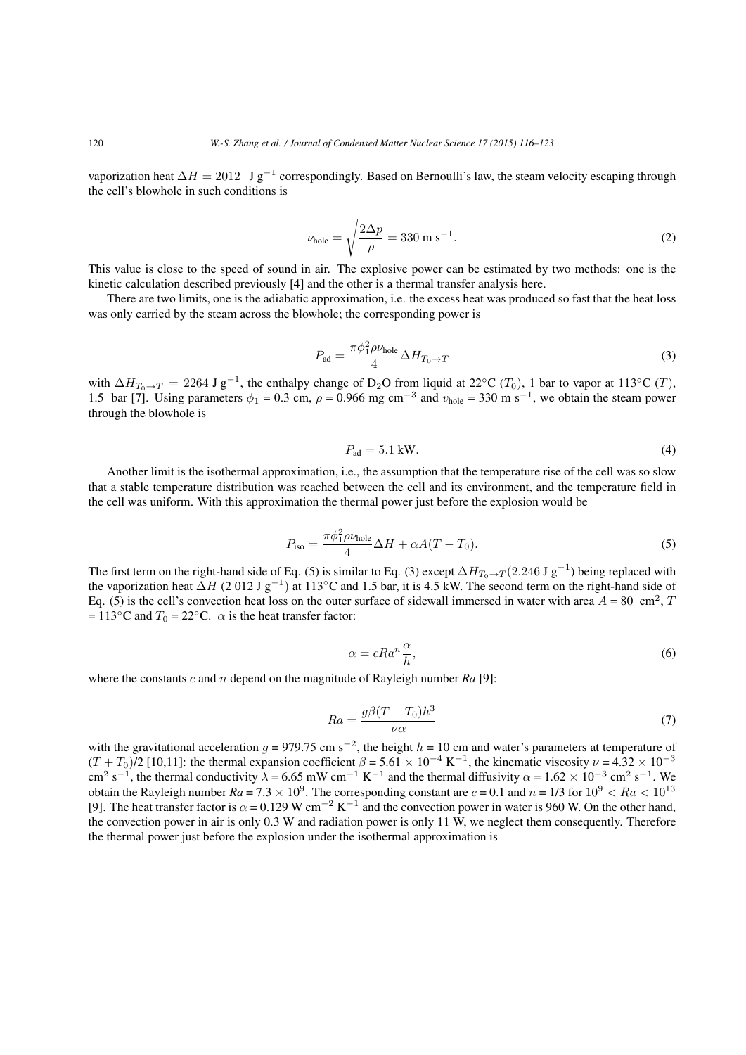vaporization heat  $\Delta H = 2012 \text{ J g}^{-1}$  correspondingly. Based on Bernoulli's law, the steam velocity escaping through the cell's blowhole in such conditions is

$$
\nu_{\text{hole}} = \sqrt{\frac{2\Delta p}{\rho}} = 330 \text{ m s}^{-1}.
$$
 (2)

This value is close to the speed of sound in air. The explosive power can be estimated by two methods: one is the kinetic calculation described previously [4] and the other is a thermal transfer analysis here.

There are two limits, one is the adiabatic approximation, i.e. the excess heat was produced so fast that the heat loss was only carried by the steam across the blowhole; the corresponding power is

$$
P_{\rm ad} = \frac{\pi \phi_1^2 \rho \nu_{\rm hole}}{4} \Delta H_{T_0 \to T} \tag{3}
$$

with  $\Delta H_{T_0\to T} = 2264 \text{ J g}^{-1}$ , the enthalpy change of D<sub>2</sub>O from liquid at 22°C (T<sub>0</sub>), 1 bar to vapor at 113°C (T), 1.5 bar [7]. Using parameters  $\phi_1 = 0.3$  cm,  $\rho = 0.966$  mg cm<sup>-3</sup> and  $v_{\text{hole}} = 330$  m s<sup>-1</sup>, we obtain the steam power through the blowhole is

$$
P_{\rm ad} = 5.1 \text{ kW.}
$$

Another limit is the isothermal approximation, i.e., the assumption that the temperature rise of the cell was so slow that a stable temperature distribution was reached between the cell and its environment, and the temperature field in the cell was uniform. With this approximation the thermal power just before the explosion would be

$$
P_{\text{iso}} = \frac{\pi \phi_1^2 \rho \nu_{\text{hole}}}{4} \Delta H + \alpha A (T - T_0). \tag{5}
$$

The first term on the right-hand side of Eq. (5) is similar to Eq. (3) except  $\Delta H_{T_0\to T}(2.246 \text{ J g}^{-1})$  being replaced with the vaporization heat  $\Delta H$  (2 012 J g<sup>-1</sup>) at 113°C and 1.5 bar, it is 4.5 kW. The second term on the right-hand side of Eq. (5) is the cell's convection heat loss on the outer surface of sidewall immersed in water with area  $A = 80 \text{ cm}^2$ , T  $= 113°C$  and  $T_0 = 22°C$ .  $\alpha$  is the heat transfer factor:

$$
\alpha = cRa^n \frac{\alpha}{h},\tag{6}
$$

where the constants c and n depend on the magnitude of Rayleigh number Ra [9]:

$$
Ra = \frac{g\beta(T - T_0)h^3}{\nu\alpha} \tag{7}
$$

with the gravitational acceleration  $g = 979.75$  cm s<sup>-2</sup>, the height  $h = 10$  cm and water's parameters at temperature of  $(T + T_0)/2$  [10,11]: the thermal expansion coefficient  $\beta = 5.61 \times 10^{-4}$  K<sup>-1</sup>, the kinematic viscosity  $\nu = 4.32 \times 10^{-3}$ cm<sup>2</sup> s<sup>-1</sup>, the thermal conductivity  $\lambda$  = 6.65 mW cm<sup>-1</sup> K<sup>-1</sup> and the thermal diffusivity  $\alpha$  = 1.62 × 10<sup>-3</sup> cm<sup>2</sup> s<sup>-1</sup>. We obtain the Rayleigh number  $Ra = 7.3 \times 10^9$ . The corresponding constant are  $c = 0.1$  and  $n = 1/3$  for  $10^9 < Ra < 10^{13}$ [9]. The heat transfer factor is  $\alpha = 0.129$  W cm<sup>-2</sup> K<sup>-1</sup> and the convection power in water is 960 W. On the other hand, the convection power in air is only 0.3 W and radiation power is only 11 W, we neglect them consequently. Therefore the thermal power just before the explosion under the isothermal approximation is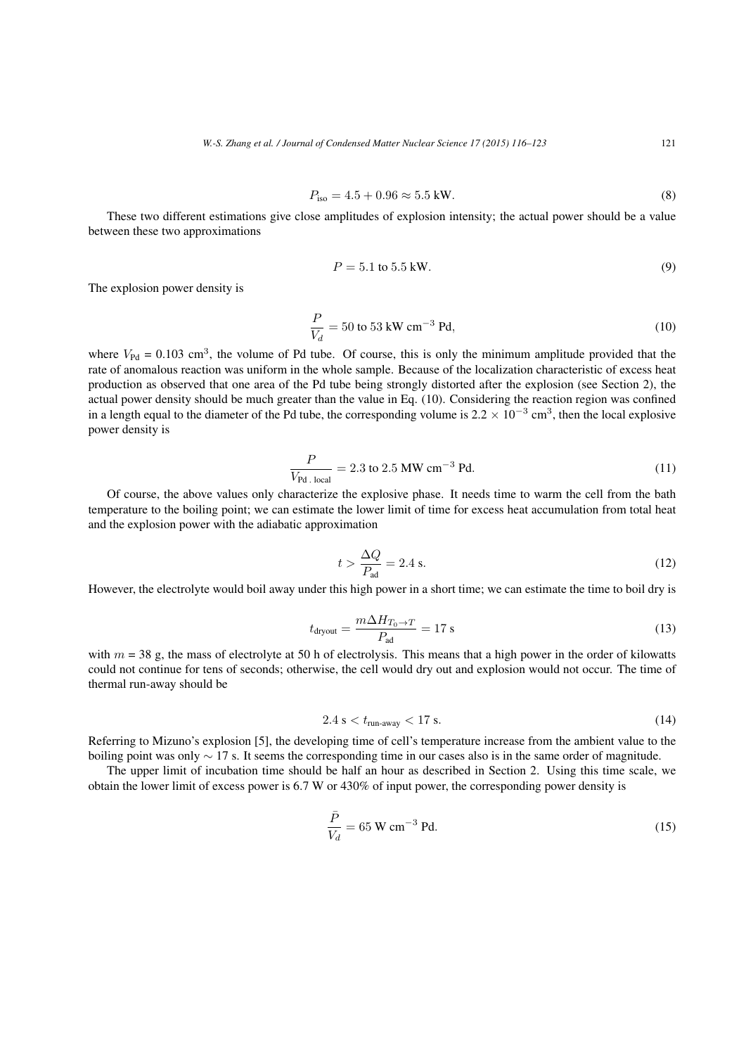$$
P_{\rm iso} = 4.5 + 0.96 \approx 5.5 \,\text{kW}.\tag{8}
$$

These two different estimations give close amplitudes of explosion intensity; the actual power should be a value between these two approximations

$$
P = 5.1 \text{ to } 5.5 \text{ kW.} \tag{9}
$$

The explosion power density is

$$
\frac{P}{V_d} = 50 \text{ to } 53 \text{ kW cm}^{-3} \text{ Pd},\tag{10}
$$

where  $V_{\text{Pd}} = 0.103 \text{ cm}^3$ , the volume of Pd tube. Of course, this is only the minimum amplitude provided that the rate of anomalous reaction was uniform in the whole sample. Because of the localization characteristic of excess heat production as observed that one area of the Pd tube being strongly distorted after the explosion (see Section 2), the actual power density should be much greater than the value in Eq. (10). Considering the reaction region was confined in a length equal to the diameter of the Pd tube, the corresponding volume is  $2.2 \times 10^{-3}$  cm<sup>3</sup>, then the local explosive power density is

$$
\frac{P}{V_{\text{Pd. local}}} = 2.3 \text{ to } 2.5 \text{ MW cm}^{-3} \text{ Pd.}
$$
 (11)

Of course, the above values only characterize the explosive phase. It needs time to warm the cell from the bath temperature to the boiling point; we can estimate the lower limit of time for excess heat accumulation from total heat and the explosion power with the adiabatic approximation

$$
t > \frac{\Delta Q}{P_{\text{ad}}} = 2.4 \text{ s.}
$$
 (12)

However, the electrolyte would boil away under this high power in a short time; we can estimate the time to boil dry is

$$
t_{\text{dryout}} = \frac{m\Delta H_{T_0 \to T}}{P_{\text{ad}}} = 17 \text{ s}
$$
\n(13)

with  $m = 38$  g, the mass of electrolyte at 50 h of electrolysis. This means that a high power in the order of kilowatts could not continue for tens of seconds; otherwise, the cell would dry out and explosion would not occur. The time of thermal run-away should be

$$
2.4 \text{ s} < t_{\text{run-away}} < 17 \text{ s.} \tag{14}
$$

Referring to Mizuno's explosion [5], the developing time of cell's temperature increase from the ambient value to the boiling point was only  $\sim$  17 s. It seems the corresponding time in our cases also is in the same order of magnitude.

The upper limit of incubation time should be half an hour as described in Section 2. Using this time scale, we obtain the lower limit of excess power is 6.7 W or 430% of input power, the corresponding power density is

$$
\frac{\bar{P}}{V_d} = 65 \text{ W cm}^{-3} \text{ Pd.}
$$
\n
$$
(15)
$$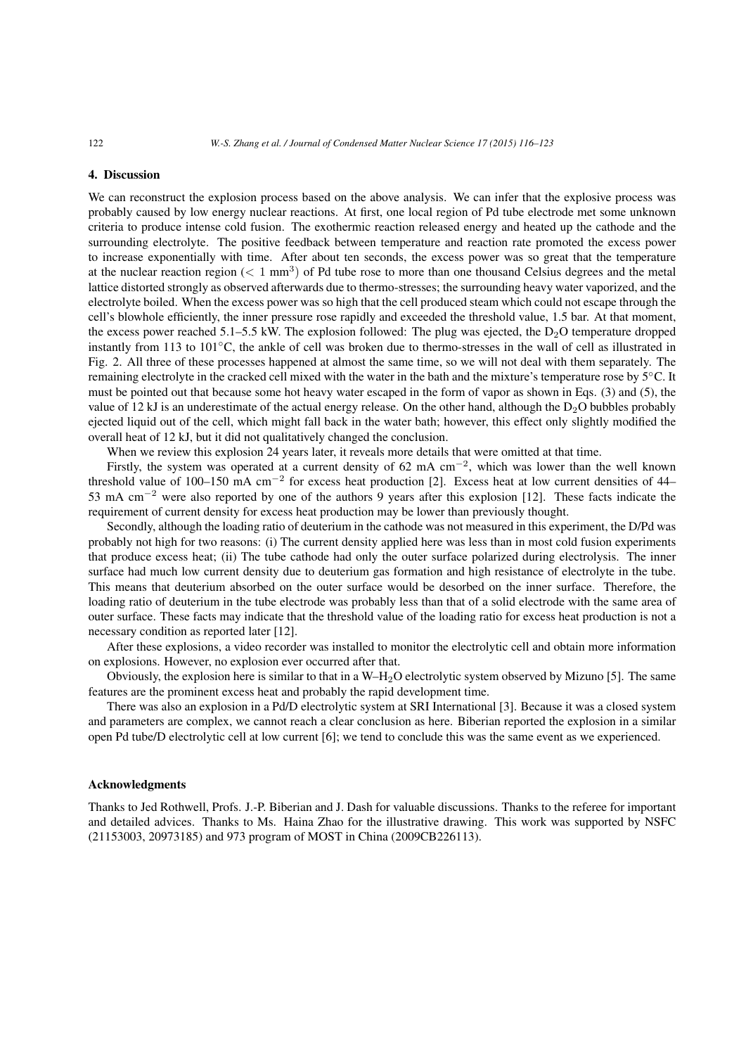#### 4. Discussion

We can reconstruct the explosion process based on the above analysis. We can infer that the explosive process was probably caused by low energy nuclear reactions. At first, one local region of Pd tube electrode met some unknown criteria to produce intense cold fusion. The exothermic reaction released energy and heated up the cathode and the surrounding electrolyte. The positive feedback between temperature and reaction rate promoted the excess power to increase exponentially with time. After about ten seconds, the excess power was so great that the temperature at the nuclear reaction region ( $\lt 1$  mm<sup>3</sup>) of Pd tube rose to more than one thousand Celsius degrees and the metal lattice distorted strongly as observed afterwards due to thermo-stresses; the surrounding heavy water vaporized, and the electrolyte boiled. When the excess power was so high that the cell produced steam which could not escape through the cell's blowhole efficiently, the inner pressure rose rapidly and exceeded the threshold value, 1.5 bar. At that moment, the excess power reached 5.1–5.5 kW. The explosion followed: The plug was ejected, the  $D_2O$  temperature dropped instantly from 113 to 101◦C, the ankle of cell was broken due to thermo-stresses in the wall of cell as illustrated in Fig. 2. All three of these processes happened at almost the same time, so we will not deal with them separately. The remaining electrolyte in the cracked cell mixed with the water in the bath and the mixture's temperature rose by 5◦C. It must be pointed out that because some hot heavy water escaped in the form of vapor as shown in Eqs. (3) and (5), the value of 12 kJ is an underestimate of the actual energy release. On the other hand, although the  $D_2O$  bubbles probably ejected liquid out of the cell, which might fall back in the water bath; however, this effect only slightly modified the overall heat of 12 kJ, but it did not qualitatively changed the conclusion.

When we review this explosion 24 years later, it reveals more details that were omitted at that time.

Firstly, the system was operated at a current density of 62 mA cm<sup>-2</sup>, which was lower than the well known threshold value of 100–150 mA cm−<sup>2</sup> for excess heat production [2]. Excess heat at low current densities of 44– 53 mA cm−<sup>2</sup> were also reported by one of the authors 9 years after this explosion [12]. These facts indicate the requirement of current density for excess heat production may be lower than previously thought.

Secondly, although the loading ratio of deuterium in the cathode was not measured in this experiment, the D/Pd was probably not high for two reasons: (i) The current density applied here was less than in most cold fusion experiments that produce excess heat; (ii) The tube cathode had only the outer surface polarized during electrolysis. The inner surface had much low current density due to deuterium gas formation and high resistance of electrolyte in the tube. This means that deuterium absorbed on the outer surface would be desorbed on the inner surface. Therefore, the loading ratio of deuterium in the tube electrode was probably less than that of a solid electrode with the same area of outer surface. These facts may indicate that the threshold value of the loading ratio for excess heat production is not a necessary condition as reported later [12].

After these explosions, a video recorder was installed to monitor the electrolytic cell and obtain more information on explosions. However, no explosion ever occurred after that.

Obviously, the explosion here is similar to that in a W–H2O electrolytic system observed by Mizuno [5]. The same features are the prominent excess heat and probably the rapid development time.

There was also an explosion in a Pd/D electrolytic system at SRI International [3]. Because it was a closed system and parameters are complex, we cannot reach a clear conclusion as here. Biberian reported the explosion in a similar open Pd tube/D electrolytic cell at low current [6]; we tend to conclude this was the same event as we experienced.

#### Acknowledgments

Thanks to Jed Rothwell, Profs. J.-P. Biberian and J. Dash for valuable discussions. Thanks to the referee for important and detailed advices. Thanks to Ms. Haina Zhao for the illustrative drawing. This work was supported by NSFC (21153003, 20973185) and 973 program of MOST in China (2009CB226113).